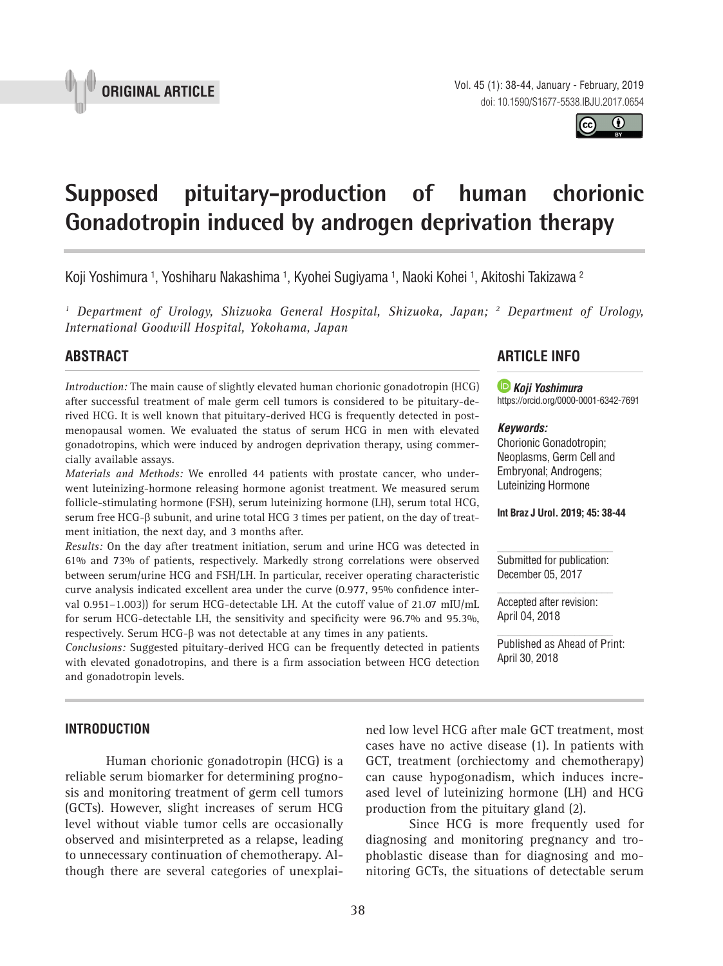



# **Supposed pituitary-production of human chorionic Gonadotropin induced by androgen deprivation therapy 1**

Koji Yoshimura <sup>1</sup>, Yoshiharu Nakashima <sup>1</sup>, Kyohei Sugiyama <sup>1</sup>, Naoki Kohei <sup>1</sup>, Akitoshi Takizawa <sup>2</sup>

<sup>1</sup> Department of Urology, Shizuoka General Hospital, Shizuoka, Japan; <sup>2</sup> Department of Urology, *International Goodwill Hospital, Yokohama, Japan*

## **ABSTRAcT**

*Introduction:* The main cause of slightly elevated human chorionic gonadotropin (HCG) after successful treatment of male germ cell tumors is considered to be pituitary-derived HCG. It is well known that pituitary-derived HCG is frequently detected in postmenopausal women. We evaluated the status of serum HCG in men with elevated gonadotropins, which were induced by androgen deprivation therapy, using commercially available assays.

*Materials and Methods:* We enrolled 44 patients with prostate cancer, who underwent luteinizing-hormone releasing hormone agonist treatment. We measured serum follicle-stimulating hormone (FSH), serum luteinizing hormone (LH), serum total HCG, serum free HCG*-*β subunit, and urine total HCG 3 times per patient, on the day of treatment initiation, the next day, and 3 months after.

*Results:* On the day after treatment initiation, serum and urine HCG was detected in 61% and 73% of patients, respectively. Markedly strong correlations were observed between serum/urine HCG and FSH/LH. In particular, receiver operating characteristic curve analysis indicated excellent area under the curve (0.977, 95% confidence interval 0.951–1.003)) for serum HCG-detectable LH. At the cutoff value of 21.07 mIU/mL for serum HCG-detectable LH, the sensitivity and specificity were 96.7% and 95.3%, respectively. Serum HCG-β was not detectable at any times in any patients.

*Conclusions:* Suggested pituitary-derived HCG can be frequently detected in patients with elevated gonadotropins, and there is a firm association between HCG detection and gonadotropin levels.

## **ARTIcLE INFO**

 *Koji Yoshimura* https://orcid.org/0000-0001-6342-7691

#### *Keywords:*

Chorionic Gonadotropin; Neoplasms, Germ Cell and Embryonal; Androgens; Luteinizing Hormone

**Int Braz J Urol. 2019; 45: 38-44**

Submitted for publication: December 05, 2017

Accepted after revision: April 04, 2018

Published as Ahead of Print: April 30, 2018

## **INTRODUcTION**

Human chorionic gonadotropin (HCG) is a reliable serum biomarker for determining prognosis and monitoring treatment of germ cell tumors (GCTs). However, slight increases of serum HCG level without viable tumor cells are occasionally observed and misinterpreted as a relapse, leading to unnecessary continuation of chemotherapy. Although there are several categories of unexplai-

ned low level HCG after male GCT treatment, most cases have no active disease (1). In patients with GCT, treatment (orchiectomy and chemotherapy) can cause hypogonadism, which induces increased level of luteinizing hormone (LH) and HCG production from the pituitary gland (2).

 Since HCG is more frequently used for diagnosing and monitoring pregnancy and trophoblastic disease than for diagnosing and monitoring GCTs, the situations of detectable serum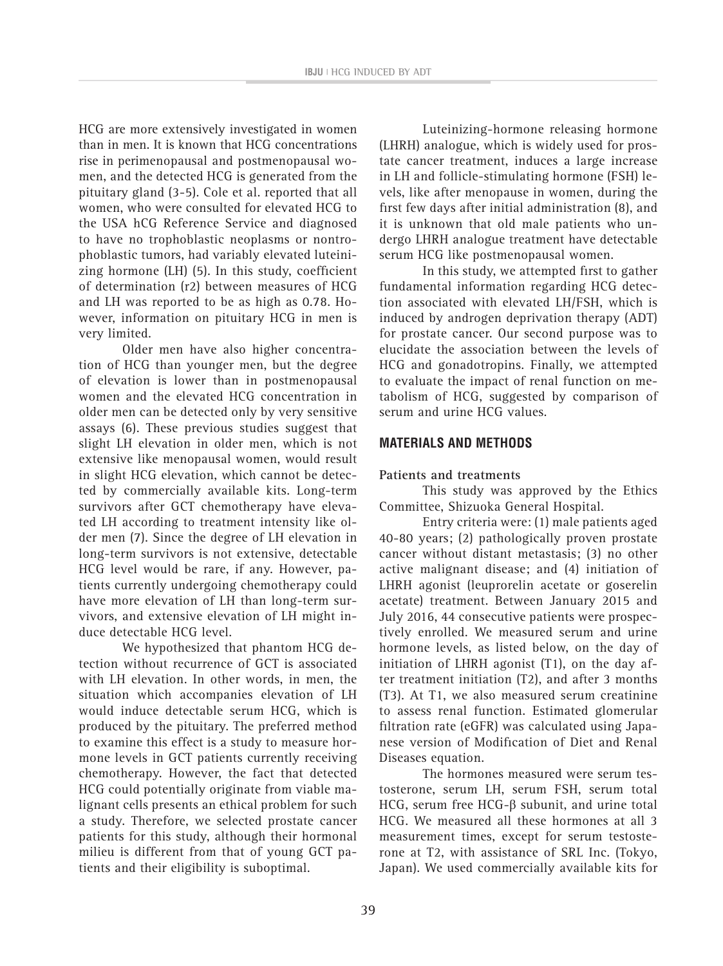HCG are more extensively investigated in women than in men. It is known that HCG concentrations rise in perimenopausal and postmenopausal women, and the detected HCG is generated from the pituitary gland (3-5). Cole et al. reported that all women, who were consulted for elevated HCG to the USA hCG Reference Service and diagnosed to have no trophoblastic neoplasms or nontrophoblastic tumors, had variably elevated luteinizing hormone (LH) (5). In this study, coefficient of determination (r2) between measures of HCG and LH was reported to be as high as 0.78. However, information on pituitary HCG in men is very limited.

Older men have also higher concentration of HCG than younger men, but the degree of elevation is lower than in postmenopausal women and the elevated HCG concentration in older men can be detected only by very sensitive assays (6). These previous studies suggest that slight LH elevation in older men, which is not extensive like menopausal women, would result in slight HCG elevation, which cannot be detected by commercially available kits. Long-term survivors after GCT chemotherapy have elevated LH according to treatment intensity like older men (7). Since the degree of LH elevation in long-term survivors is not extensive, detectable HCG level would be rare, if any. However, patients currently undergoing chemotherapy could have more elevation of LH than long-term survivors, and extensive elevation of LH might induce detectable HCG level.

We hypothesized that phantom HCG detection without recurrence of GCT is associated with LH elevation. In other words, in men, the situation which accompanies elevation of LH would induce detectable serum HCG, which is produced by the pituitary. The preferred method to examine this effect is a study to measure hormone levels in GCT patients currently receiving chemotherapy. However, the fact that detected HCG could potentially originate from viable malignant cells presents an ethical problem for such a study. Therefore, we selected prostate cancer patients for this study, although their hormonal milieu is different from that of young GCT patients and their eligibility is suboptimal.

Luteinizing-hormone releasing hormone (LHRH) analogue, which is widely used for prostate cancer treatment, induces a large increase in LH and follicle-stimulating hormone (FSH) levels, like after menopause in women, during the first few days after initial administration (8), and it is unknown that old male patients who undergo LHRH analogue treatment have detectable serum HCG like postmenopausal women.

In this study, we attempted first to gather fundamental information regarding HCG detection associated with elevated LH/FSH, which is induced by androgen deprivation therapy (ADT) for prostate cancer. Our second purpose was to elucidate the association between the levels of HCG and gonadotropins. Finally, we attempted to evaluate the impact of renal function on metabolism of HCG, suggested by comparison of serum and urine HCG values.

## **MATERIALS AND METHODS**

## **Patients and treatments**

This study was approved by the Ethics Committee, Shizuoka General Hospital.

Entry criteria were: (1) male patients aged 40-80 years; (2) pathologically proven prostate cancer without distant metastasis; (3) no other active malignant disease; and (4) initiation of LHRH agonist (leuprorelin acetate or goserelin acetate) treatment. Between January 2015 and July 2016, 44 consecutive patients were prospectively enrolled. We measured serum and urine hormone levels, as listed below, on the day of initiation of LHRH agonist (T1), on the day after treatment initiation (T2), and after 3 months (T3). At T1, we also measured serum creatinine to assess renal function. Estimated glomerular filtration rate (eGFR) was calculated using Japanese version of Modification of Diet and Renal Diseases equation.

The hormones measured were serum testosterone, serum LH, serum FSH, serum total HCG, serum free HCG-β subunit, and urine total HCG. We measured all these hormones at all 3 measurement times, except for serum testosterone at T2, with assistance of SRL Inc. (Tokyo, Japan). We used commercially available kits for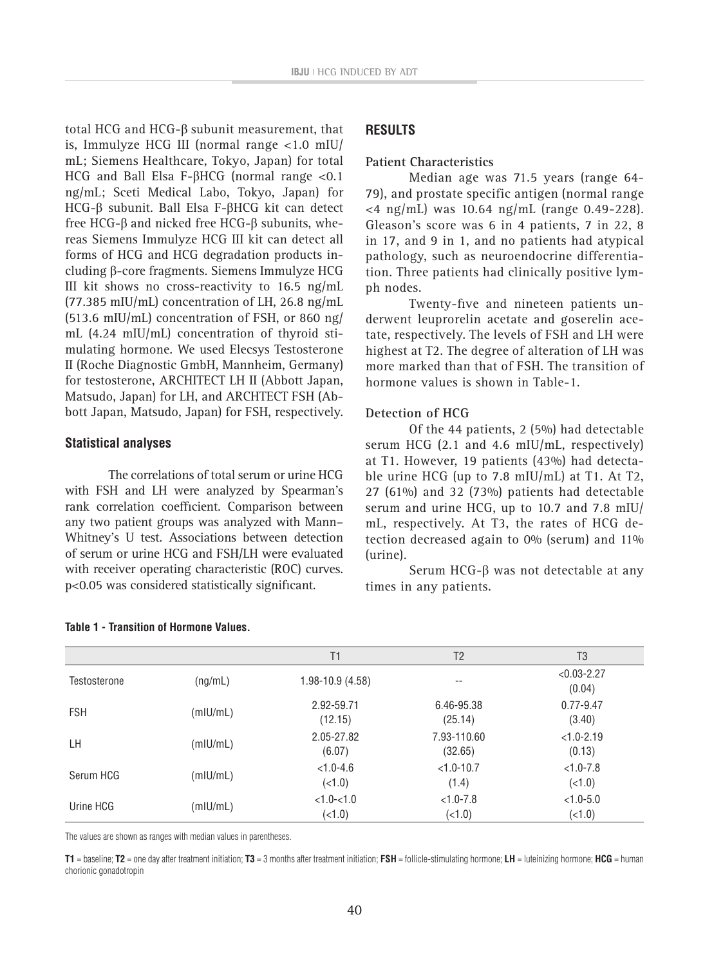total HCG and HCG-β subunit measurement, that is, Immulyze HCG III (normal range <1.0 mIU/ mL; Siemens Healthcare, Tokyo, Japan) for total HCG and Ball Elsa F-βHCG (normal range <0.1 ng/mL; Sceti Medical Labo, Tokyo, Japan) for HCG-β subunit. Ball Elsa F-βHCG kit can detect free HCG-β and nicked free HCG-β subunits, whereas Siemens Immulyze HCG III kit can detect all forms of HCG and HCG degradation products including β-core fragments. Siemens Immulyze HCG III kit shows no cross-reactivity to 16.5 ng/mL  $(77.385 \text{ mIU/mL})$  concentration of LH, 26.8 ng/mL (513.6 mIU/mL) concentration of FSH, or 860 ng/ mL (4.24 mIU/mL) concentration of thyroid stimulating hormone. We used Elecsys Testosterone II (Roche Diagnostic GmbH, Mannheim, Germany) for testosterone, ARCHITECT LH II (Abbott Japan, Matsudo, Japan) for LH, and ARCHTECT FSH (Abbott Japan, Matsudo, Japan) for FSH, respectively.

#### **Statistical analyses**

The correlations of total serum or urine HCG with FSH and LH were analyzed by Spearman's rank correlation coefficient. Comparison between any two patient groups was analyzed with Mann– Whitney's U test. Associations between detection of serum or urine HCG and FSH/LH were evaluated with receiver operating characteristic (ROC) curves. p<0.05 was considered statistically significant.

## **RESULTS**

#### **Patient Characteristics**

Median age was 71.5 years (range 64- 79), and prostate specific antigen (normal range <4 ng/mL) was 10.64 ng/mL (range 0.49-228). Gleason's score was 6 in 4 patients, 7 in 22, 8 in 17, and 9 in 1, and no patients had atypical pathology, such as neuroendocrine differentiation. Three patients had clinically positive lymph nodes.

Twenty-five and nineteen patients underwent leuprorelin acetate and goserelin acetate, respectively. The levels of FSH and LH were highest at T2. The degree of alteration of LH was more marked than that of FSH. The transition of hormone values is shown in Table-1.

## **Detection of HCG**

Of the 44 patients, 2 (5%) had detectable serum HCG (2.1 and 4.6 mIU/mL, respectively) at T1. However, 19 patients (43%) had detectable urine HCG (up to 7.8 mIU/mL) at T1. At T2, 27 (61%) and 32 (73%) patients had detectable serum and urine HCG, up to 10.7 and 7.8 mIU/ mL, respectively. At T3, the rates of HCG detection decreased again to 0% (serum) and 11% (urine).

Serum HCG-β was not detectable at any times in any patients.

|              |          | T1                        | T <sub>2</sub>          | T <sub>3</sub>            |
|--------------|----------|---------------------------|-------------------------|---------------------------|
| Testosterone | (ng/mL)  | $1.98 - 10.9(4.58)$       | $- -$                   | $< 0.03 - 2.27$<br>(0.04) |
| <b>FSH</b>   | (mIU/mL) | 2.92-59.71<br>(12.15)     | 6.46-95.38<br>(25.14)   | $0.77 - 9.47$<br>(3.40)   |
| LH           | (mIU/mL) | 2.05-27.82<br>(6.07)      | 7.93-110.60<br>(32.65)  | $<1.0 - 2.19$<br>(0.13)   |
| Serum HCG    | (mIU/mL) | $< 1.0 - 4.6$<br>(21.0)   | $< 1.0 - 10.7$<br>(1.4) | $< 1.0 - 7.8$<br>(5.1)    |
| Urine HCG    | (mIU/mL) | $< 1.0 - < 1.0$<br>(21.0) | $< 1.0 - 7.8$<br>(21.0) | $< 1.0 - 5.0$<br>(21.0)   |

The values are shown as ranges with median values in parentheses.

**T1** = baseline; **T2** = one day after treatment initiation; **T3** = 3 months after treatment initiation; **FSH** = follicle-stimulating hormone; **LH** = luteinizing hormone; **HCG** = human chorionic gonadotropin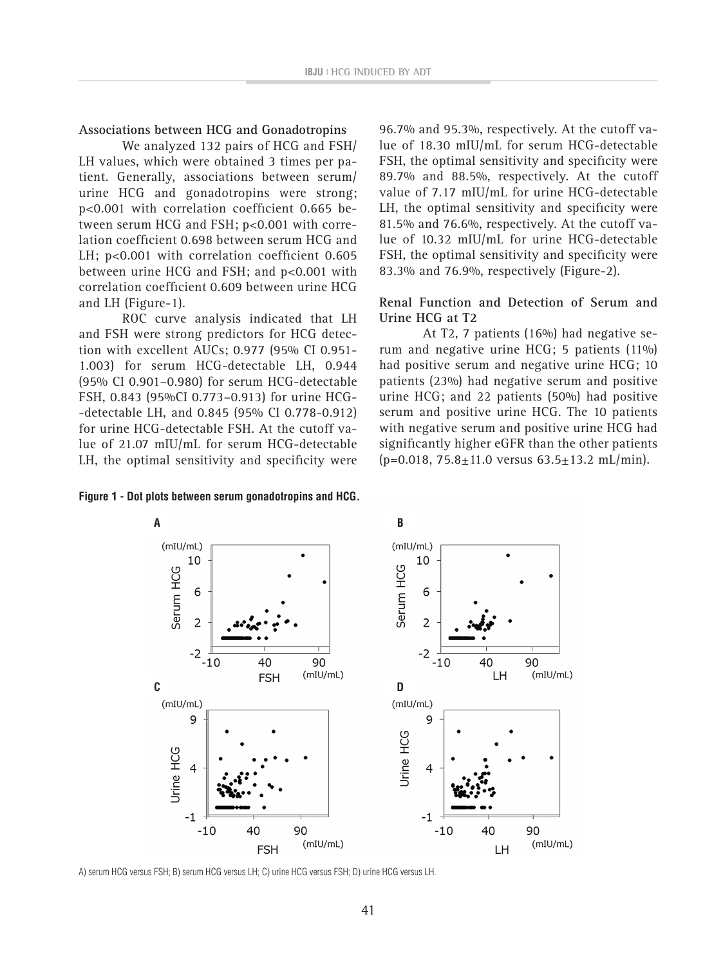### **Associations between HCG and Gonadotropins**

We analyzed 132 pairs of HCG and FSH/ LH values, which were obtained 3 times per patient. Generally, associations between serum/ urine HCG and gonadotropins were strong; p<0.001 with correlation coefficient 0.665 between serum HCG and FSH; p<0.001 with correlation coefficient 0.698 between serum HCG and LH; p<0.001 with correlation coefficient 0.605 between urine HCG and FSH; and p<0.001 with correlation coefficient 0.609 between urine HCG and LH (Figure-1).

ROC curve analysis indicated that LH and FSH were strong predictors for HCG detection with excellent AUCs; 0.977 (95% CI 0.951- 1.003) for serum HCG-detectable LH, 0.944 (95% CI 0.901–0.980) for serum HCG-detectable FSH, 0.843 (95%CI 0.773–0.913) for urine HCG- -detectable LH, and 0.845 (95% CI 0.778-0.912) for urine HCG-detectable FSH. At the cutoff value of 21.07 mIU/mL for serum HCG-detectable LH, the optimal sensitivity and specificity were

**Figure 1 - Dot plots between serum gonadotropins and HCG.**

96.7% and 95.3%, respectively. At the cutoff value of 18.30 mIU/mL for serum HCG-detectable FSH, the optimal sensitivity and specificity were 89.7% and 88.5%, respectively. At the cutoff value of 7.17 mIU/mL for urine HCG-detectable LH, the optimal sensitivity and specificity were 81.5% and 76.6%, respectively. At the cutoff value of 10.32 mIU/mL for urine HCG-detectable FSH, the optimal sensitivity and specificity were 83.3% and 76.9%, respectively (Figure-2).

**Renal Function and Detection of Serum and Urine HCG at T2**

At T2, 7 patients (16%) had negative serum and negative urine HCG; 5 patients (11%) had positive serum and negative urine HCG; 10 patients (23%) had negative serum and positive urine HCG; and 22 patients (50%) had positive serum and positive urine HCG. The 10 patients with negative serum and positive urine HCG had significantly higher eGFR than the other patients  $(p=0.018, 75.8 \pm 11.0 \text{ versus } 63.5 \pm 13.2 \text{ mL/min}).$ 



A) serum HCG versus FSH; B) serum HCG versus LH; C) urine HCG versus FSH; D) urine HCG versus LH.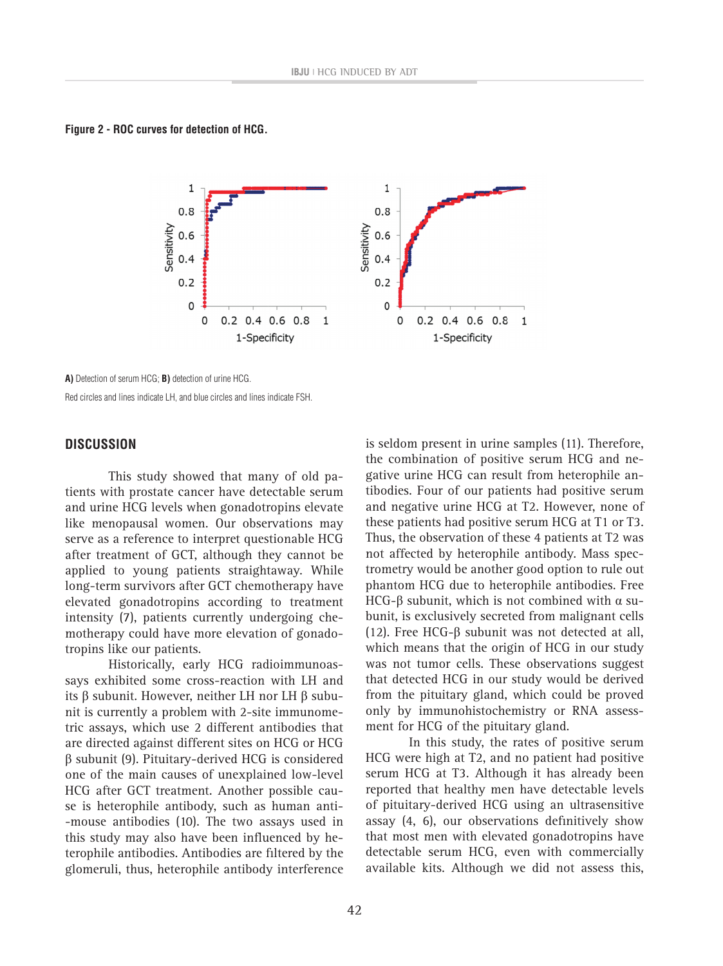**Figure 2 - ROc curves for detection of HcG.**



**A)** Detection of serum HCG; **B)** detection of urine HCG. Red circles and lines indicate LH, and blue circles and lines indicate FSH.

#### **DIScUSSION**

 This study showed that many of old patients with prostate cancer have detectable serum and urine HCG levels when gonadotropins elevate like menopausal women. Our observations may serve as a reference to interpret questionable HCG after treatment of GCT, although they cannot be applied to young patients straightaway. While long-term survivors after GCT chemotherapy have elevated gonadotropins according to treatment intensity (7), patients currently undergoing chemotherapy could have more elevation of gonadotropins like our patients.

 Historically, early HCG radioimmunoassays exhibited some cross-reaction with LH and its β subunit. However, neither LH nor LH β subunit is currently a problem with 2-site immunometric assays, which use 2 different antibodies that are directed against different sites on HCG or HCG β subunit (9). Pituitary-derived HCG is considered one of the main causes of unexplained low-level HCG after GCT treatment. Another possible cause is heterophile antibody, such as human anti- -mouse antibodies (10). The two assays used in this study may also have been influenced by heterophile antibodies. Antibodies are filtered by the glomeruli, thus, heterophile antibody interference

is seldom present in urine samples (11). Therefore, the combination of positive serum HCG and negative urine HCG can result from heterophile antibodies. Four of our patients had positive serum and negative urine HCG at T2. However, none of these patients had positive serum HCG at T1 or T3. Thus, the observation of these 4 patients at T2 was not affected by heterophile antibody. Mass spectrometry would be another good option to rule out phantom HCG due to heterophile antibodies. Free HCG-β subunit, which is not combined with  $α$  subunit, is exclusively secreted from malignant cells (12). Free HCG-β subunit was not detected at all, which means that the origin of HCG in our study was not tumor cells. These observations suggest that detected HCG in our study would be derived from the pituitary gland, which could be proved only by immunohistochemistry or RNA assessment for HCG of the pituitary gland.

 In this study, the rates of positive serum HCG were high at T2, and no patient had positive serum HCG at T3. Although it has already been reported that healthy men have detectable levels of pituitary-derived HCG using an ultrasensitive assay  $(4, 6)$ , our observations definitively show that most men with elevated gonadotropins have detectable serum HCG, even with commercially available kits. Although we did not assess this,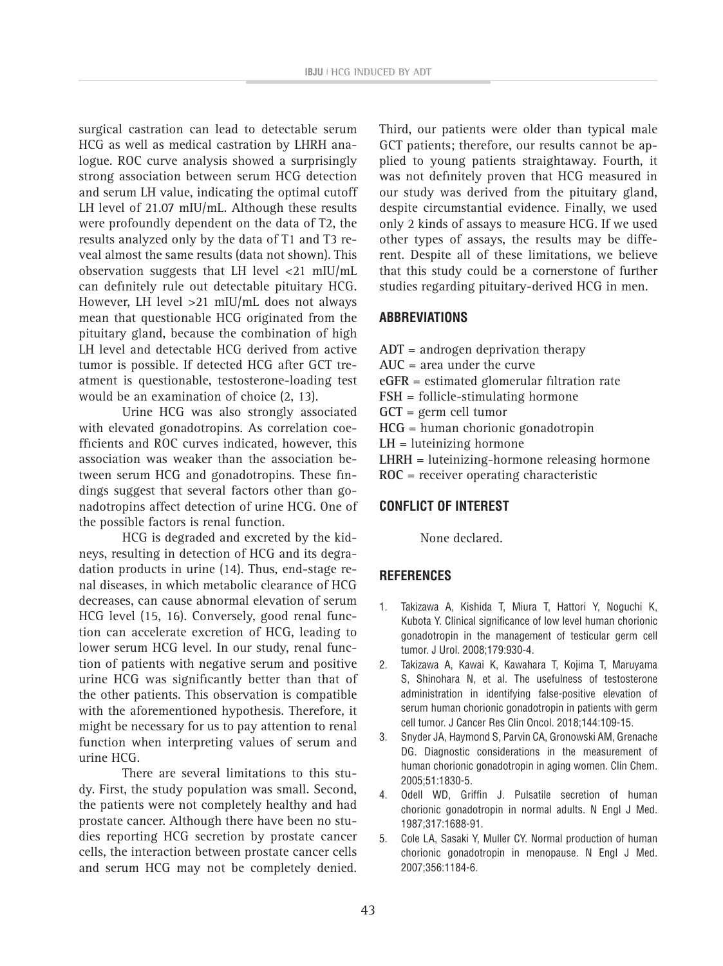surgical castration can lead to detectable serum HCG as well as medical castration by LHRH analogue. ROC curve analysis showed a surprisingly strong association between serum HCG detection and serum LH value, indicating the optimal cutoff LH level of 21.07 mIU/mL. Although these results were profoundly dependent on the data of T2, the results analyzed only by the data of T1 and T3 reveal almost the same results (data not shown). This observation suggests that LH level <21 mIU/mL can definitely rule out detectable pituitary HCG. However, LH level >21 mIU/mL does not always mean that questionable HCG originated from the pituitary gland, because the combination of high LH level and detectable HCG derived from active tumor is possible. If detected HCG after GCT treatment is questionable, testosterone-loading test would be an examination of choice (2, 13).

Urine HCG was also strongly associated with elevated gonadotropins. As correlation coefficients and ROC curves indicated, however, this association was weaker than the association between serum HCG and gonadotropins. These findings suggest that several factors other than gonadotropins affect detection of urine HCG. One of the possible factors is renal function.

HCG is degraded and excreted by the kidneys, resulting in detection of HCG and its degradation products in urine (14). Thus, end-stage renal diseases, in which metabolic clearance of HCG decreases, can cause abnormal elevation of serum HCG level (15, 16). Conversely, good renal function can accelerate excretion of HCG, leading to lower serum HCG level. In our study, renal function of patients with negative serum and positive urine HCG was significantly better than that of the other patients. This observation is compatible with the aforementioned hypothesis. Therefore, it might be necessary for us to pay attention to renal function when interpreting values of serum and urine HCG.

There are several limitations to this study. First, the study population was small. Second, the patients were not completely healthy and had prostate cancer. Although there have been no studies reporting HCG secretion by prostate cancer cells, the interaction between prostate cancer cells and serum HCG may not be completely denied. Third, our patients were older than typical male GCT patients; therefore, our results cannot be applied to young patients straightaway. Fourth, it was not definitely proven that HCG measured in our study was derived from the pituitary gland, despite circumstantial evidence. Finally, we used only 2 kinds of assays to measure HCG. If we used other types of assays, the results may be different. Despite all of these limitations, we believe that this study could be a cornerstone of further studies regarding pituitary-derived HCG in men.

## **ABBREVIATIONS**

- **ADT** = androgen deprivation therapy
- **AUC** = area under the curve
- **eGFR** = estimated glomerular filtration rate
- **FSH** = follicle-stimulating hormone
- **GCT** = germ cell tumor
- **HCG** = human chorionic gonadotropin
- **LH** = luteinizing hormone
- **LHRH** = luteinizing-hormone releasing hormone
- **ROC** = receiver operating characteristic

## **CONFLICT OF INTEREST**

None declared.

## **REFERENCES**

- 1. Takizawa A, Kishida T, Miura T, Hattori Y, Noguchi K, Kubota Y. Clinical significance of low level human chorionic gonadotropin in the management of testicular germ cell tumor. J Urol. 2008;179:930-4.
- 2. Takizawa A, Kawai K, Kawahara T, Kojima T, Maruyama S, Shinohara N, et al. The usefulness of testosterone administration in identifying false-positive elevation of serum human chorionic gonadotropin in patients with germ cell tumor. J Cancer Res Clin Oncol. 2018;144:109-15.
- 3. Snyder JA, Haymond S, Parvin CA, Gronowski AM, Grenache DG. Diagnostic considerations in the measurement of human chorionic gonadotropin in aging women. Clin Chem. 2005;51:1830-5.
- 4. Odell WD, Griffin J. Pulsatile secretion of human chorionic gonadotropin in normal adults. N Engl J Med. 1987;317:1688-91.
- 5. Cole LA, Sasaki Y, Muller CY. Normal production of human chorionic gonadotropin in menopause. N Engl J Med. 2007;356:1184-6.